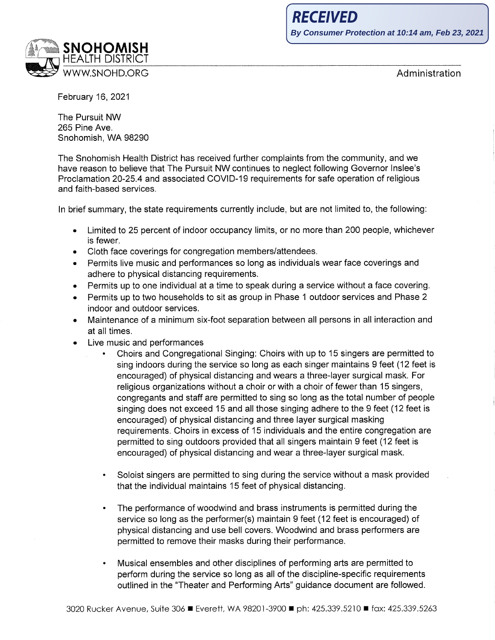

Administration

February 16, 2021

The Pursuit NW 265 Pine Ave. Snohomish, WA 98290

The Snohomish Health District has received further complaints from the community, and we have reason to believe that The Pursuit NW continues to neglect following Governor Inslee's Proclamation 20-25.4 and associated COVID-19 requirements for safe operation of religious and faith-based services.

In brief summary, the state requirements currently include, but are not limited to, the following:

- Limited to 25 percent of indoor occupancy limits, or no more than 200 people, whichever is fewer.
- Cloth face coverings for congregation members/attendees.
- Permits live music and performances so long as individuals wear face coverings and adhere to physical distancing requirements.
- Permits up to one individual at a time to speak during a service without a face covering.
- Permits up to two households to sit as group in Phase 1 outdoor services and Phase 2 indoor and outdoor services.
- Maintenance of a minimum six-foot separation between all persons in all interaction and at all times.
- Live music and performances
	- Choirs and Congregational Singing: Choirs with up to 15 singers are permitted to sing indoors during the service so long as each singer maintains 9 feet (12 feet is encouraged) of physical distancing and wears a three-layer surgical mask. For religious organizations without a choir or with a choir of fewer than 15 singers, congregants and staff are permitted to sing so long as the total number of people singing does not exceed 15 and all those singing adhere to the 9 feet (12 feet is encouraged) of physical distancing and three layer surgical masking requirements. Choirs in excess of 15 individuals and the entire congregation are permitted to sing outdoors provided that all singers maintain 9 feet (12 feet is encouraged) of physical distancing and wear a three-layer surgical mask.
	- Soloist singers are permitted to sing during the service without a mask provided that the individual maintains 15 feet of physical distancing.
	- The performance of woodwind and brass instruments is permitted during the service so long as the performer(s) maintain 9 feet (12 feet is encouraged) of physical distancing and use bell covers. Woodwind and brass performers are permitted to remove their masks during their performance.
	- Musical ensembles and other disciplines of performing arts are permitted to perform during the service so long as all of the discipline-specific requirements outlined in the "Theater and Performing Arts" guidance document are followed.